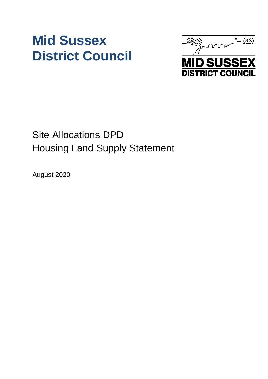# **Mid Sussex District Council**



# Site Allocations DPD Housing Land Supply Statement

August 2020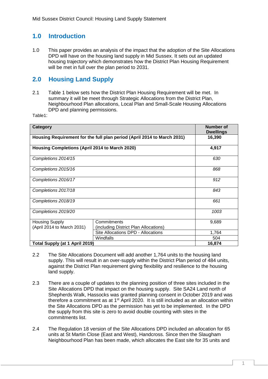# **1.0 Introduction**

1.0 This paper provides an analysis of the impact that the adoption of the Site Allocations DPD will have on the housing land supply in Mid Sussex. It sets out an updated housing trajectory which demonstrates how the District Plan Housing Requirement will be met in full over the plan period to 2031.

## **2.0 Housing Land Supply**

2.1 Table 1 below sets how the District Plan Housing Requirement will be met. In summary it will be meet through Strategic Allocations from the District Plan, Neighbourhood Plan allocations, Local Plan and Small-Scale Housing Allocations DPD and planning permissions.

Table1:

| Category                                                                |                                       | <b>Number of</b><br><b>Dwellings</b> |
|-------------------------------------------------------------------------|---------------------------------------|--------------------------------------|
| Housing Requirement for the full plan period (April 2014 to March 2031) |                                       | 16,390                               |
| Housing Completions (April 2014 to March 2020)                          |                                       | 4,917                                |
| Completions 2014/15                                                     |                                       | 630                                  |
| Completions 2015/16                                                     |                                       | 868                                  |
| Completions 2016/17                                                     |                                       | 912                                  |
| Completions 2017/18                                                     |                                       | 843                                  |
| Completions 2018/19                                                     |                                       | 661                                  |
| Completions 2019/20                                                     |                                       | 1003                                 |
| <b>Housing Supply</b>                                                   | Commitments                           | 9,689                                |
| (April 2014 to March 2031)                                              | (including District Plan Allocations) |                                      |
|                                                                         | Site Allocations DPD - Allocations    | 1,764                                |
|                                                                         | Windfalls                             | 504                                  |
| Total Supply (at 1 April 2019)                                          |                                       | 16,874                               |

- 2.2 The Site Allocations Document will add another 1,764 units to the housing land supply. This will result in an over-supply within the District Plan period of 484 units, against the District Plan requirement giving flexibility and resilience to the housing land supply.
- 2.3 There are a couple of updates to the planning position of three sites included in the Site Allocations DPD that impact on the housing supply. Site SA24 Land north of Shepherds Walk, Hassocks was granted planning consent in October 2019 and was therefore a commitment as at  $1<sup>st</sup>$  April 2020. It is still included as an allocation within the Site Allocations DPD as the permission has yet to be implemented. In the DPD the supply from this site is zero to avoid double counting with sites in the commitments list.
- 2.4 The Regulation 18 version of the Site Allocations DPD included an allocation for 65 units at St Martin Close (East and West), Handcross. Since then the Slaugham Neighbourhood Plan has been made, which allocates the East site for 35 units and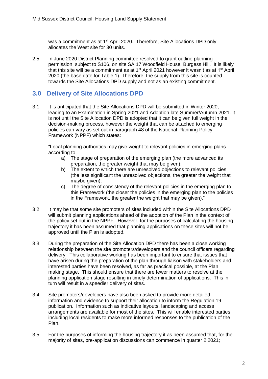was a commitment as at 1<sup>st</sup> April 2020. Therefore, Site Allocations DPD only allocates the West site for 30 units.

2.5 In June 2020 District Planning committee resolved to grant outline planning permission, subject to S106, on site SA 17 Woodfield House, Burgess Hill. It is likely that this site will be a commitment as at 1<sup>st</sup> April 2021 however it wasn't as at 1<sup>st</sup> April 2020 (the base date for Table 1). Therefore, the supply from this site is counted towards the Site Allocations DPD supply and not as an existing commitment.

#### **3.0 Delivery of Site Allocations DPD**

3.1 It is anticipated that the Site Allocations DPD will be submitted in Winter 2020, leading to an Examination in Spring 2021 and Adoption late Summer/Autumn 2021. It is not until the Site Allocation DPD is adopted that it can be given full weight in the decision-making process, however the weight that can be attached to emerging policies can vary as set out in paragraph 48 of the National Planning Policy Framework (NPPF) which states:

"Local planning authorities may give weight to relevant policies in emerging plans according to:

- a) The stage of preparation of the emerging plan (the more advanced its preparation, the greater weight that may be given);
- b) The extent to which there are unresolved objections to relevant policies (the less significant the unresolved objections, the greater the weight that maybe given);
- c) The degree of consistency of the relevant policies in the emerging plan to this Framework (the closer the policies in the emerging plan to the policies in the Framework, the greater the weight that may be given)."
- 3.2 It may be that some site promoters of sites included within the Site Allocations DPD will submit planning applications ahead of the adoption of the Plan in the context of the policy set out in the NPPF. However, for the purposes of calculating the housing trajectory it has been assumed that planning applications on these sites will not be approved until the Plan is adopted.
- 3.3 During the preparation of the Site Allocation DPD there has been a close working relationship between the site promoters/developers and the council officers regarding delivery. This collaborative working has been important to ensure that issues that have arisen during the preparation of the plan through liaison with stakeholders and interested parties have been resolved, as far as practical possible, at the Plan making stage. This should ensure that there are fewer matters to resolve at the planning application stage resulting in timely determination of applications. This in turn will result in a speedier delivery of sites.
- 3.4 Site promoters/developers have also been asked to provide more detailed information and evidence to support their allocation to inform the Regulation 19 publication. Information such as indicative layouts, landscaping and access arrangements are available for most of the sites. This will enable interested parties including local residents to make more informed responses to the publication of the Plan.
- 3.5 For the purposes of informing the housing trajectory it as been assumed that, for the majority of sites, pre-application discussions can commence in quarter 2 2021;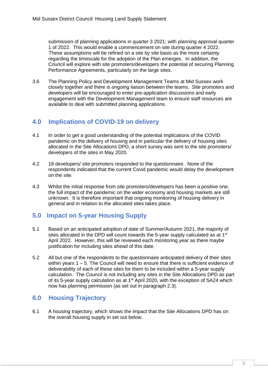submission of planning applications in quarter 3 2021; with planning approval quarter 1 of 2022. This would enable a commencement on site during quarter 4 2022. These assumptions will be refined on a site by site basis as the more certainty regarding the timescale for the adoption of the Plan emerges. In addition, the Council will explore with site promoters/developers the potential of securing Planning Performance Agreements, particularly on the large sites.

3.6 The Planning Policy and Development Management Teams at Mid Sussex work closely together and there is ongoing liaison between the teams. Site promoters and developers will be encouraged to enter pre-application discussions and early engagement with the Development Management team to ensure staff resources are available to deal with submitted planning applications.

#### **4.0 Implications of COVID-19 on delivery**

- 4.1 In order to get a good understanding of the potential implications of the COVID pandemic on the delivery of housing and in particular the delivery of housing sites allocated in the Site Allocations DPD, a short survey was sent to the site promoters/ developers of the sites in May 2020.
- 4.2 18 developers/ site promoters responded to the questionnaire. None of the respondents indicated that the current Covid pandemic would delay the development on the site.
- 4.3 Whilst the initial response from site promoters/developers has been a positive one, the full impact of the pandemic on the wider economy and housing markets are still unknown. It is therefore important that ongoing monitoring of housing delivery in general and in relation to the allocated sites takes place.

#### **5.0 Impact on 5-year Housing Supply**

- 5.1 Based on an anticipated adoption of date of Summer/Autumn 2021, the majority of sites allocated in the DPD will count towards the 5-year supply calculated as at  $1<sup>st</sup>$ April 2022. However, this will be reviewed each monitoring year as there maybe justification for including sites ahead of this date.
- 5.2 All but one of the respondents to the questionnaire anticipated delivery of their sites within years 1 – 5. The Council will need to ensure that there is sufficient evidence of deliverability of each of these sites for them to be included within a 5-year supply calculation. The Council is not including any sites in the Site Allocations DPD as part of its 5-year supply calculation as at  $1<sup>st</sup>$  April 2020, with the exception of SA24 which now has planning permission (as set out in paragraph 2.3).

## **6.0 Housing Trajectory**

6.1 A housing trajectory, which shows the impact that the Site Allocations DPD has on the overall housing supply in set out below.